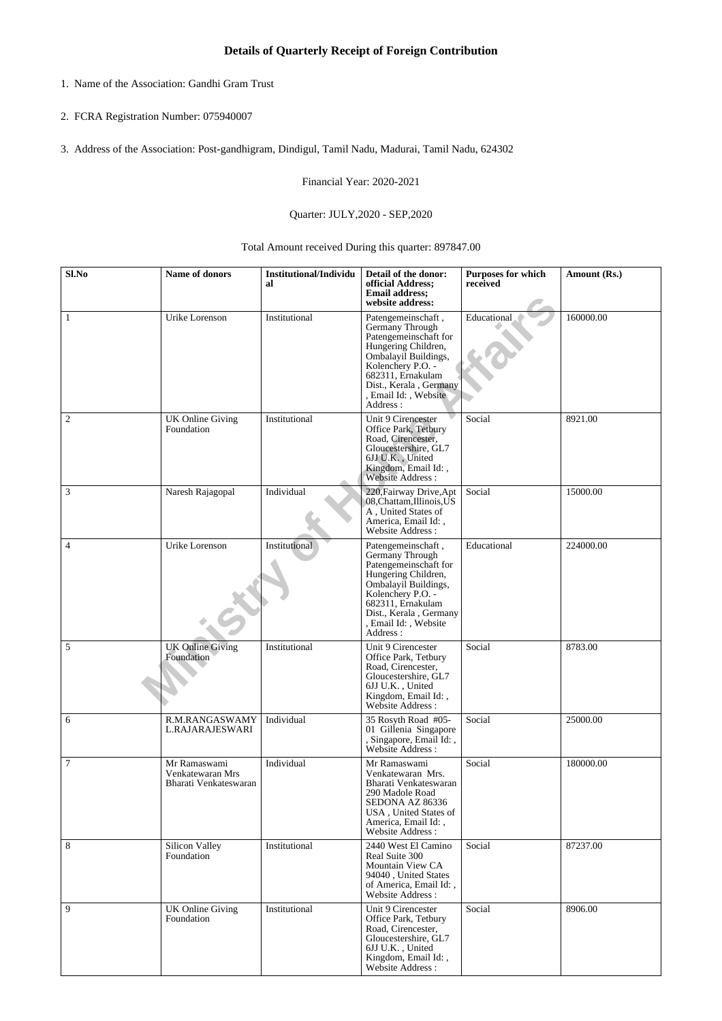- 1. Name of the Association: Gandhi Gram Trust
- 2. FCRA Registration Number: 075940007
- 3. Address of the Association: Post-gandhigram, Dindigul, Tamil Nadu, Madurai, Tamil Nadu, 624302

Financial Year: 2020-2021

## Quarter: JULY,2020 - SEP,2020

Total Amount received During this quarter: 897847.00

| Sl.No          | Name of donors                                            | <b>Institutional/Individu</b><br>al | Detail of the donor:<br>official Address;<br><b>Email address;</b><br>website address:                                                                                                                                 | Purposes for which<br>received | Amount (Rs.) |
|----------------|-----------------------------------------------------------|-------------------------------------|------------------------------------------------------------------------------------------------------------------------------------------------------------------------------------------------------------------------|--------------------------------|--------------|
| $\mathbf{1}$   | Urike Lorenson                                            | Institutional                       | Patengemeinschaft,<br>Germany Through<br>Patengemeinschaft for<br>Hungering Children,<br>Ombalayil Buildings,<br>Kolenchery P.O. -<br>682311, Ernakulam<br>Dist., Kerala, Germany<br>, Email Id: , Website<br>Address: | Educational                    | 160000.00    |
| $\overline{c}$ | <b>UK Online Giving</b><br>Foundation                     | Institutional                       | Unit 9 Cirencester<br>Office Park, Tetbury<br>Road, Cirencester,<br>Gloucestershire, GL7<br>6JJ U.K., United<br>Kingdom, Email Id:,<br>Website Address:                                                                | Social                         | 8921.00      |
| 3              | Naresh Rajagopal                                          | Individual                          | 220, Fairway Drive, Apt<br>08, Chattam, Illinois, US<br>A, United States of<br>America, Email Id:,<br>Website Address:                                                                                                 | Social                         | 15000.00     |
| $\overline{4}$ | Urike Lorenson                                            | Institutional                       | Patengemeinschaft,<br>Germany Through<br>Patengemeinschaft for<br>Hungering Children,<br>Ombalayil Buildings,<br>Kolenchery P.O. -<br>682311, Ernakulam<br>Dist., Kerala, Germany<br>, Email Id: , Website<br>Address: | Educational                    | 224000.00    |
| 5              | <b>UK Online Giving</b><br>Foundation                     | Institutional                       | Unit 9 Cirencester<br>Office Park, Tetbury<br>Road, Cirencester,<br>Gloucestershire, GL7<br>6JJ U.K., United<br>Kingdom, Email Id: ,<br>Website Address :                                                              | Social                         | 8783.00      |
| 6              | R.M.RANGASWAMY<br>L.RAJARAJESWARI                         | Individual                          | 35 Rosyth Road #05-<br>01 Gillenia Singapore<br>, Singapore, Email Id:,<br>Website Address :                                                                                                                           | Social                         | 25000.00     |
| $\overline{7}$ | Mr Ramaswami<br>Venkatewaran Mrs<br>Bharati Venkateswaran | Individual                          | Mr Ramaswami<br>Venkatewaran Mrs.<br>Bharati Venkateswaran<br>290 Madole Road<br>SEDONA AZ 86336<br>USA, United States of<br>America, Email Id:,<br>Website Address:                                                   | Social                         | 180000.00    |
| 8              | Silicon Valley<br>Foundation                              | Institutional                       | 2440 West El Camino<br>Real Suite 300<br>Mountain View CA<br>94040, United States<br>of America, Email Id:,<br>Website Address:                                                                                        | Social                         | 87237.00     |
| 9              | <b>UK Online Giving</b><br>Foundation                     | Institutional                       | Unit 9 Cirencester<br>Office Park, Tetbury<br>Road, Cirencester,<br>Gloucestershire, GL7<br>6JJ U.K., United<br>Kingdom, Email Id:,<br>Website Address :                                                               | Social                         | 8906.00      |